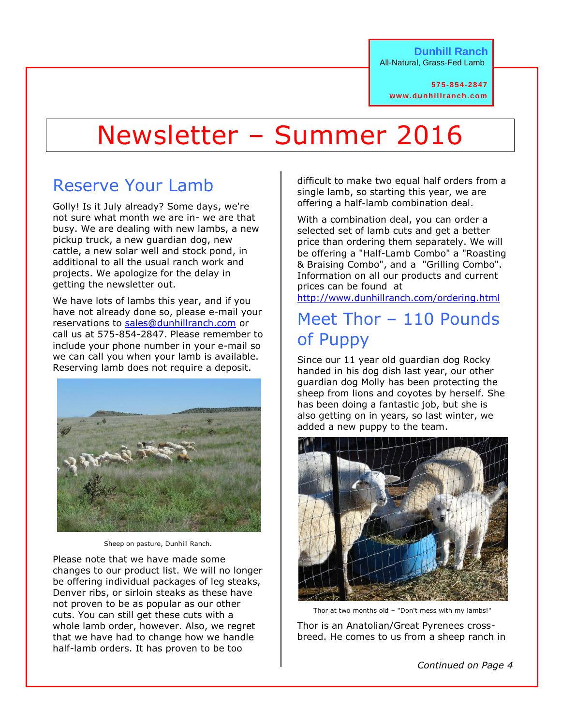**575-854-2847 www.dunhillranch.com**

# Newsletter – Summer 2016

# Reserve Your Lamb

Golly! Is it July already? Some days, we're not sure what month we are in- we are that busy. We are dealing with new lambs, a new pickup truck, a new guardian dog, new cattle, a new solar well and stock pond, in additional to all the usual ranch work and projects. We apologize for the delay in getting the newsletter out.

We have lots of lambs this year, and if you have not already done so, please e-mail your reservations to [sales@dunhillranch.com](mailto:sales@dunhillranch.com) or call us at 575-854-2847. Please remember to include your phone number in your e-mail so we can call you when your lamb is available. Reserving lamb does not require a deposit.



Sheep on pasture, Dunhill Ranch.

Please note that we have made some changes to our product list. We will no longer be offering individual packages of leg steaks, Denver ribs, or sirloin steaks as these have not proven to be as popular as our other cuts. You can still get these cuts with a whole lamb order, however. Also, we regret that we have had to change how we handle half-lamb orders. It has proven to be too

difficult to make two equal half orders from a single lamb, so starting this year, we are offering a half-lamb combination deal.

With a combination deal, you can order a selected set of lamb cuts and get a better price than ordering them separately. We will be offering a "Half-Lamb Combo" a "Roasting & Braising Combo", and a "Grilling Combo". Information on all our products and current prices can be found at

<http://www.dunhillranch.com/ordering.html>

# Meet Thor – 110 Pounds of Puppy

Since our 11 year old guardian dog Rocky handed in his dog dish last year, our other guardian dog Molly has been protecting the sheep from lions and coyotes by herself. She has been doing a fantastic job, but she is also getting on in years, so last winter, we added a new puppy to the team.



Thor at two months old – "Don't mess with my lambs!"

Thor is an Anatolian/Great Pyrenees crossbreed. He comes to us from a sheep ranch in

*Continued on Page 4*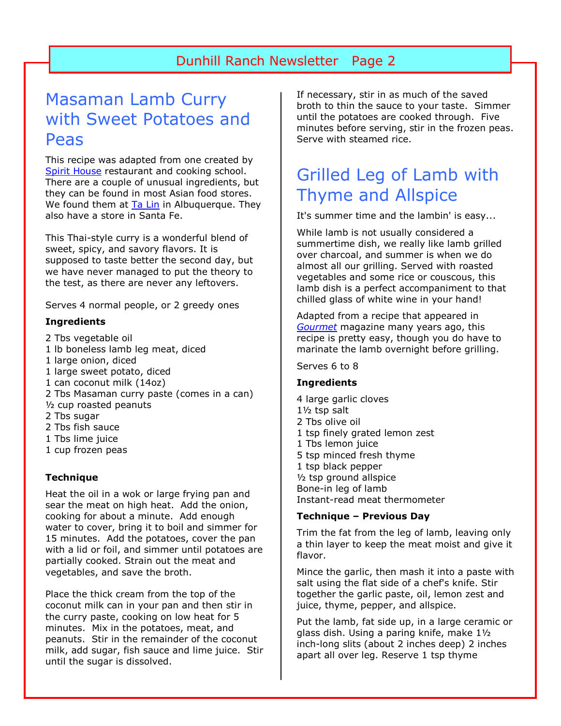## Masaman Lamb Curry with Sweet Potatoes and Peas

This recipe was adapted from one created by [Spirit House](http://www.spirithouse.com.au/) restaurant and cooking school. There are a couple of unusual ingredients, but they can be found in most Asian food stores. We found them at **Ta Lin** in Albuquerque. They also have a store in Santa Fe.

This Thai-style curry is a wonderful blend of sweet, spicy, and savory flavors. It is supposed to taste better the second day, but we have never managed to put the theory to the test, as there are never any leftovers.

Serves 4 normal people, or 2 greedy ones

#### **Ingredients**

- 2 Tbs vegetable oil 1 lb boneless lamb leg meat, diced 1 large onion, diced 1 large sweet potato, diced 1 can coconut milk (14oz) 2 Tbs Masaman curry paste (comes in a can) ½ cup roasted peanuts 2 Tbs sugar 2 Tbs fish sauce 1 Tbs lime juice 1 cup frozen peas
- **Technique**

Heat the oil in a wok or large frying pan and sear the meat on high heat. Add the onion, cooking for about a minute. Add enough water to cover, bring it to boil and simmer for 15 minutes. Add the potatoes, cover the pan with a lid or foil, and simmer until potatoes are partially cooked. Strain out the meat and vegetables, and save the broth.

Place the thick cream from the top of the coconut milk can in your pan and then stir in the curry paste, cooking on low heat for 5 minutes. Mix in the potatoes, meat, and peanuts. Stir in the remainder of the coconut milk, add sugar, fish sauce and lime juice. Stir until the sugar is dissolved.

If necessary, stir in as much of the saved broth to thin the sauce to your taste. Simmer until the potatoes are cooked through. Five minutes before serving, stir in the frozen peas. Serve with steamed rice.

# Grilled Leg of Lamb with Thyme and Allspice

It's summer time and the lambin' is easy...

While lamb is not usually considered a summertime dish, we really like lamb grilled over charcoal, and summer is when we do almost all our grilling. Served with roasted vegetables and some rice or couscous, this lamb dish is a perfect accompaniment to that chilled glass of white wine in your hand!

Adapted from a recipe that appeared in *[Gourmet](http://www.gourmet.com/)* magazine many years ago, this recipe is pretty easy, though you do have to marinate the lamb overnight before grilling.

Serves 6 to 8

#### **Ingredients**

4 large garlic cloves 1½ tsp salt 2 Tbs olive oil 1 tsp finely grated lemon zest 1 Tbs lemon juice 5 tsp minced fresh thyme 1 tsp black pepper ½ tsp ground allspice Bone-in leg of lamb Instant-read meat thermometer

#### **Technique – Previous Day**

Trim the fat from the leg of lamb, leaving only a thin layer to keep the meat moist and give it flavor.

Mince the garlic, then mash it into a paste with salt using the flat side of a chef's knife. Stir together the garlic paste, oil, lemon zest and juice, thyme, pepper, and allspice.

Put the lamb, fat side up, in a large ceramic or glass dish. Using a paring knife, make 1½ inch-long slits (about 2 inches deep) 2 inches apart all over leg. Reserve 1 tsp thyme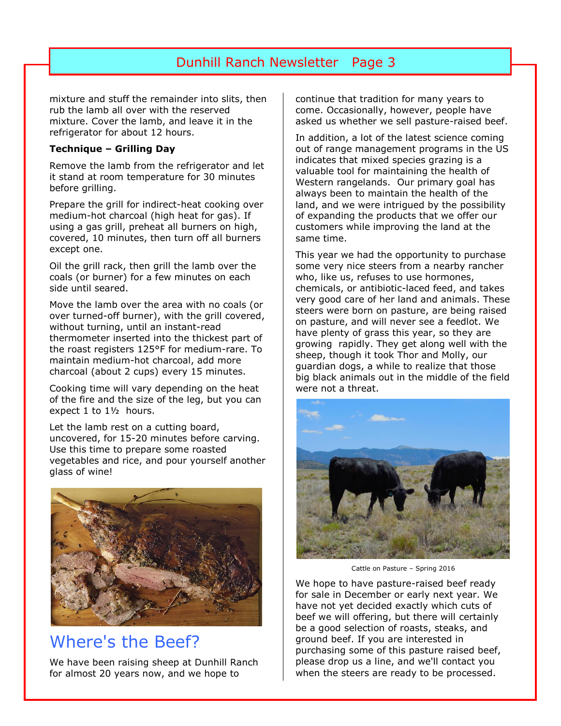mixture and stuff the remainder into slits, then rub the lamb all over with the reserved mixture. Cover the lamb, and leave it in the refrigerator for about 12 hours.

#### **Technique – Grilling Day**

Remove the lamb from the refrigerator and let it stand at room temperature for 30 minutes before grilling.

Prepare the grill for indirect-heat cooking over medium-hot charcoal (high heat for gas). If using a gas grill, preheat all burners on high, covered, 10 minutes, then turn off all burners except one.

Oil the grill rack, then grill the lamb over the coals (or burner) for a few minutes on each side until seared.

Move the lamb over the area with no coals (or over turned-off burner), with the grill covered, without turning, until an instant-read thermometer inserted into the thickest part of the roast registers 125°F for medium-rare. To maintain medium-hot charcoal, add more charcoal (about 2 cups) every 15 minutes.

Cooking time will vary depending on the heat of the fire and the size of the leg, but you can expect 1 to 1½ hours.

Let the lamb rest on a cutting board, uncovered, for 15-20 minutes before carving. Use this time to prepare some roasted vegetables and rice, and pour yourself another glass of wine!



### Where's the Beef?

We have been raising sheep at Dunhill Ranch for almost 20 years now, and we hope to

continue that tradition for many years to come. Occasionally, however, people have asked us whether we sell pasture-raised beef.

In addition, a lot of the latest science coming out of range management programs in the US indicates that mixed species grazing is a valuable tool for maintaining the health of Western rangelands. Our primary goal has always been to maintain the health of the land, and we were intrigued by the possibility of expanding the products that we offer our customers while improving the land at the same time.

This year we had the opportunity to purchase some very nice steers from a nearby rancher who, like us, refuses to use hormones, chemicals, or antibiotic-laced feed, and takes very good care of her land and animals. These steers were born on pasture, are being raised on pasture, and will never see a feedlot. We have plenty of grass this year, so they are growing rapidly. They get along well with the sheep, though it took Thor and Molly, our guardian dogs, a while to realize that those big black animals out in the middle of the field were not a threat.



Cattle on Pasture – Spring 2016

We hope to have pasture-raised beef ready for sale in December or early next year. We have not yet decided exactly which cuts of beef we will offering, but there will certainly be a good selection of roasts, steaks, and ground beef. If you are interested in purchasing some of this pasture raised beef, please drop us a line, and we'll contact you when the steers are ready to be processed.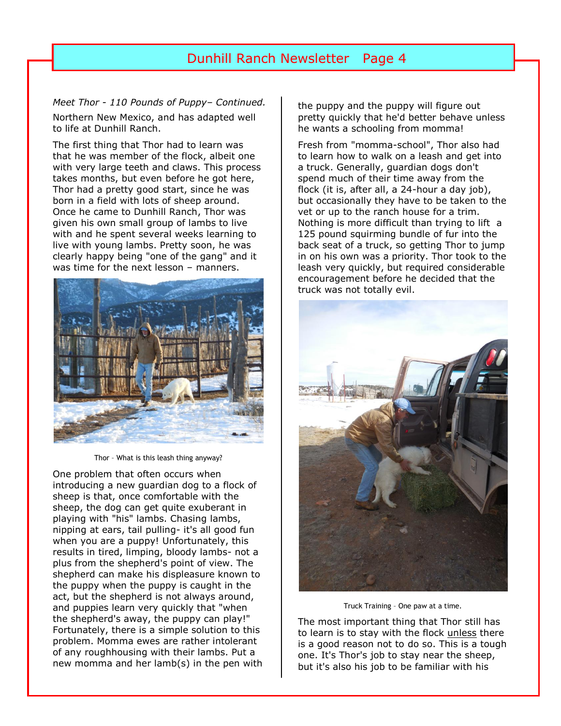#### *Meet Thor - 110 Pounds of Puppy– Continued.*

Northern New Mexico, and has adapted well to life at Dunhill Ranch.

The first thing that Thor had to learn was that he was member of the flock, albeit one with very large teeth and claws. This process takes months, but even before he got here, Thor had a pretty good start, since he was born in a field with lots of sheep around. Once he came to Dunhill Ranch, Thor was given his own small group of lambs to live with and he spent several weeks learning to live with young lambs. Pretty soon, he was clearly happy being "one of the gang" and it was time for the next lesson – manners.



Thor – What is this leash thing anyway?

One problem that often occurs when introducing a new guardian dog to a flock of sheep is that, once comfortable with the sheep, the dog can get quite exuberant in playing with "his" lambs. Chasing lambs, nipping at ears, tail pulling- it's all good fun when you are a puppy! Unfortunately, this results in tired, limping, bloody lambs- not a plus from the shepherd's point of view. The shepherd can make his displeasure known to the puppy when the puppy is caught in the act, but the shepherd is not always around, and puppies learn very quickly that "when the shepherd's away, the puppy can play!" Fortunately, there is a simple solution to this problem. Momma ewes are rather intolerant of any roughhousing with their lambs. Put a new momma and her lamb(s) in the pen with

the puppy and the puppy will figure out pretty quickly that he'd better behave unless he wants a schooling from momma!

Fresh from "momma-school", Thor also had to learn how to walk on a leash and get into a truck. Generally, guardian dogs don't spend much of their time away from the flock (it is, after all, a 24-hour a day job), but occasionally they have to be taken to the vet or up to the ranch house for a trim. Nothing is more difficult than trying to lift a 125 pound squirming bundle of fur into the back seat of a truck, so getting Thor to jump in on his own was a priority. Thor took to the leash very quickly, but required considerable encouragement before he decided that the truck was not totally evil.



Truck Training – One paw at a time.

The most important thing that Thor still has to learn is to stay with the flock unless there is a good reason not to do so. This is a tough one. It's Thor's job to stay near the sheep, but it's also his job to be familiar with his